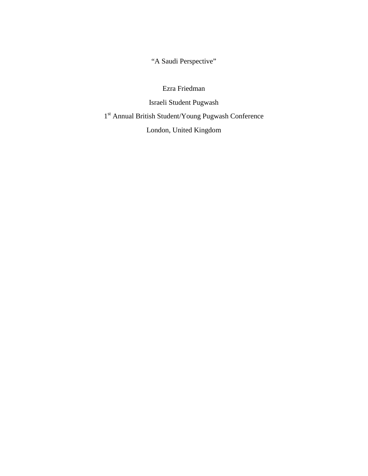"A Saudi Perspective"

Ezra Friedman Israeli Student Pugwash  $1^\mathrm{st}$  Annual British Student/Young Pugwash Conference London, United Kingdom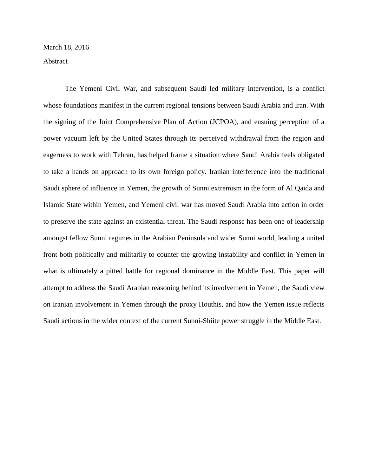The Yemeni Civil War, and subsequent Saudi led military intervention, is a conflict whose foundations manifest in the current regional tensions between Saudi Arabia and Iran. With the signing of the Joint Comprehensive Plan of Action (JCPOA), and ensuing perception of a power vacuum left by the United States through its perceived withdrawal from the region and eagerness to work with Tehran, has helped frame a situation where Saudi Arabia feels obligated to take a hands on approach to its own foreign policy. Iranian interference into the traditional Saudi sphere of influence in Yemen, the growth of Sunni extremism in the form of Al Qaida and Islamic State within Yemen, and Yemeni civil war has moved Saudi Arabia into action in order to preserve the state against an existential threat. The Saudi response has been one of leadership amongst fellow Sunni regimes in the Arabian Peninsula and wider Sunni world, leading a united front both politically and militarily to counter the growing instability and conflict in Yemen in what is ultimately a pitted battle for regional dominance in the Middle East. This paper will attempt to address the Saudi Arabian reasoning behind its involvement in Yemen, the Saudi view on Iranian involvement in Yemen through the proxy Houthis, and how the Yemen issue reflects Saudi actions in the wider context of the current Sunni-Shiite power struggle in the Middle East.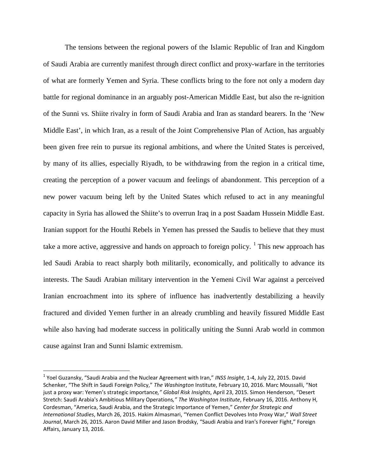The tensions between the regional powers of the Islamic Republic of Iran and Kingdom of Saudi Arabia are currently manifest through direct conflict and proxy-warfare in the territories of what are formerly Yemen and Syria. These conflicts bring to the fore not only a modern day battle for regional dominance in an arguably post-American Middle East, but also the re-ignition of the Sunni vs. Shiite rivalry in form of Saudi Arabia and Iran as standard bearers. In the 'New Middle East', in which Iran, as a result of the Joint Comprehensive Plan of Action, has arguably been given free rein to pursue its regional ambitions, and where the United States is perceived, by many of its allies, especially Riyadh, to be withdrawing from the region in a critical time, creating the perception of a power vacuum and feelings of abandonment. This perception of a new power vacuum being left by the United States which refused to act in any meaningful capacity in Syria has allowed the Shiite's to overrun Iraq in a post Saadam Hussein Middle East. Iranian support for the Houthi Rebels in Yemen has pressed the Saudis to believe that they must take a more active, aggressive and hands on approach to foreign policy.  $\frac{1}{1}$  $\frac{1}{1}$  $\frac{1}{1}$  This new approach has led Saudi Arabia to react sharply both militarily, economically, and politically to advance its interests. The Saudi Arabian military intervention in the Yemeni Civil War against a perceived Iranian encroachment into its sphere of influence has inadvertently destabilizing a heavily fractured and divided Yemen further in an already crumbling and heavily fissured Middle East while also having had moderate success in politically uniting the Sunni Arab world in common cause against Iran and Sunni Islamic extremism.

<span id="page-2-0"></span> <sup>1</sup> Yoel Guzansky, "Saudi Arabia and the Nuclear Agreement with Iran," *INSS Insight*, 1-4, July 22, 2015. David Schenker, "The Shift in Saudi Foreign Policy," *The Washington* Institute, February 10, 2016. Marc Moussalli, "Not just a proxy war: Yemen's strategic importance*," Global Risk Insights*, April 23, 2015. Simon Henderson, "Desert Stretch: Saudi Arabia's Ambitious Military Operations*," The Washington Institute*, February 16, 2016. Anthony H, Cordesman, "America, Saudi Arabia, and the Strategic Importance of Yemen," *Center for Strategic and International Studies*, March 26, 2015. Hakim Almasmari, "Yemen Conflict Devolves Into Proxy War," *Wall Street Journal*, March 26, 2015. Aaron David Miller and Jason Brodsky, "Saudi Arabia and Iran's Forever Fight," Foreign Affairs, January 13, 2016.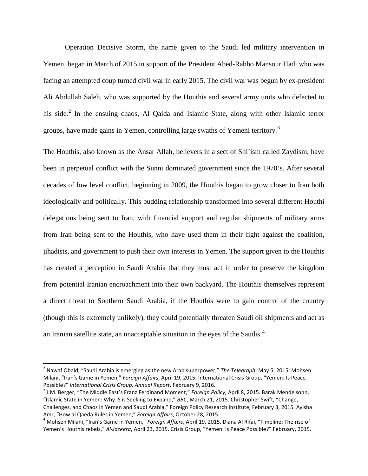Operation Decisive Storm, the name given to the Saudi led military intervention in Yemen, began in March of 2015 in support of the President Abed-Rabbo Mansour Hadi who was facing an attempted coup turned civil war in early 2015. The civil war was begun by ex-president Ali Abdullah Saleh, who was supported by the Houthis and several army units who defected to his side. $^{2}$  $^{2}$  $^{2}$  In the ensuing chaos, Al Qaida and Islamic State, along with other Islamic terror groups, have made gains in Yemen, controlling large swaths of Yemeni territory.<sup>[3](#page-3-1)</sup>

The Houthis, also known as the Ansar Allah, believers in a sect of Shi'ism called Zaydism, have been in perpetual conflict with the Sunni dominated government since the 1970's. After several decades of low level conflict, beginning in 2009, the Houthis began to grow closer to Iran both ideologically and politically. This budding relationship transformed into several different Houthi delegations being sent to Iran, with financial support and regular shipments of military arms from Iran being sent to the Houthis, who have used them in their fight against the coalition, jihadists, and government to push their own interests in Yemen. The support given to the Houthis has created a perception in Saudi Arabia that they must act in order to preserve the kingdom from potential Iranian encroachment into their own backyard. The Houthis themselves represent a direct threat to Southern Saudi Arabia, if the Houthis were to gain control of the country (though this is extremely unlikely), they could potentially threaten Saudi oil shipments and act as an Iranian satellite state, an unacceptable situation in the eyes of the Saudis.[4](#page-3-2)

<span id="page-3-0"></span> <sup>2</sup> Nawaf Obaid, "Saudi Arabia is emerging as the new Arab superpower," *The Telegraph*, May 5, 2015. Mohsen Milani, "Iran's Game in Yemen," *Foreign Affairs*, April 19, 2015. International Crisis Group, "Yemen: Is Peace Possible?" *International Crisis Group, Annual Report*, February 9, 2016.<br><sup>3</sup> J.M. Berger, "The Middle East's Franz Ferdinand Moment," *Foreign Policy*, April 8, 2015. Barak Mendelsohn,

<span id="page-3-1"></span><sup>&</sup>quot;Islamic State in Yemen: Why IS is Seeking to Expand," *BBC*, March 21, 2015. Christopher Swift, "Change, Challenges, and Chaos in Yemen and Saudi Arabia," Foreign Policy Research Institute, February 3, 2015. Ayisha Amr, "How al Qaeda Rules in Yemen," *Foreign Affairs*, October 28, 2015.<br><sup>4</sup> Mohsen Milani, "Iran's Game in Yemen," *Foreign Affairs*, April 19, 2015. Diana Al Rifai, "Timeline: The rise of

<span id="page-3-2"></span>Yemen's Houthis rebels," *Al-Jazeera*, April 23, 2015. Crisis Group, "Yemen: Is Peace Possible?" February, 2015.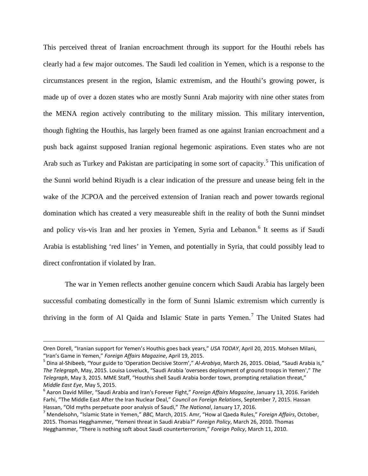This perceived threat of Iranian encroachment through its support for the Houthi rebels has clearly had a few major outcomes. The Saudi led coalition in Yemen, which is a response to the circumstances present in the region, Islamic extremism, and the Houthi's growing power, is made up of over a dozen states who are mostly Sunni Arab majority with nine other states from the MENA region actively contributing to the military mission. This military intervention, though fighting the Houthis, has largely been framed as one against Iranian encroachment and a push back against supposed Iranian regional hegemonic aspirations. Even states who are not Arab such as Turkey and Pakistan are participating in some sort of capacity.<sup>[5](#page-4-0)</sup> This unification of the Sunni world behind Riyadh is a clear indication of the pressure and unease being felt in the wake of the JCPOA and the perceived extension of Iranian reach and power towards regional domination which has created a very measureable shift in the reality of both the Sunni mindset and policy vis-vis Iran and her proxies in Yemen, Syria and Lebanon. [6](#page-4-1) It seems as if Saudi Arabia is establishing 'red lines' in Yemen, and potentially in Syria, that could possibly lead to direct confrontation if violated by Iran.

The war in Yemen reflects another genuine concern which Saudi Arabia has largely been successful combating domestically in the form of Sunni Islamic extremism which currently is thriving in the form of Al Qaida and Islamic State in parts Yemen.<sup>[7](#page-4-2)</sup> The United States had

l

Oren Dorell, "Iranian support for Yemen's Houthis goes back years," *USA TODAY*, April 20, 2015. Mohsen Milani, "Iran's Game in Yemen," *Foreign Affairs Magazine*, April 19, 2015. 5 Dina al-Shibeeb, "Your guide to 'Operation Decisive Storm'," *Al-Arabiya*, March 26, 2015. Obiad, "Saudi Arabia is,"

<span id="page-4-0"></span>*The Telegraph*, May, 2015. Louisa Loveluck, "Saudi Arabia 'oversees deployment of ground troops in Yemen'," *The Telegraph*, May 3, 2015. MME Staff, "Houthis shell Saudi Arabia border town, prompting retaliation threat," *Middle East Eye*, May 5, 2015.<br><sup>6</sup> Aaron David Miller, "Saudi Arabia and Iran's Forever Fight," *Foreign Affairs Magazine*, January 13, 2016. Farideh

<span id="page-4-1"></span>Farhi, "The Middle East After the Iran Nuclear Deal," *Council on Foreign Relations*, September 7, 2015. Hassan Hassan, "Old myths perpetuate poor analysis of Saudi," *The National*, January 17, 2016.<br><sup>7</sup> Mendelsohn, "Islamic State in Yemen," *BBC*, March, 2015. Amr, "How al Qaeda Rules," *Foreign Affairs*, October,

<span id="page-4-2"></span><sup>2015.</sup> Thomas Hegghammer, "Yemeni threat in Saudi Arabia?" *Foreign Policy*, March 26, 2010. Thomas Hegghammer, "There is nothing soft about Saudi counterterrorism," *Foreign Policy*, March 11, 2010.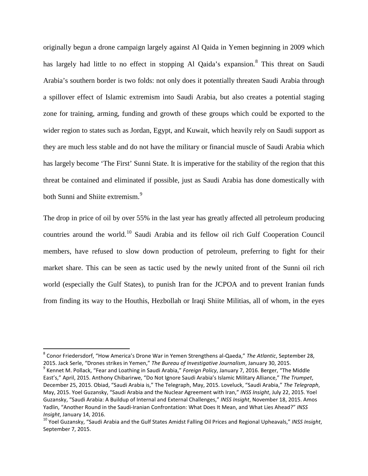originally begun a drone campaign largely against Al Qaida in Yemen beginning in 2009 which has largely had little to no effect in stopping Al Qaida's expansion.<sup>[8](#page-5-0)</sup> This threat on Saudi Arabia's southern border is two folds: not only does it potentially threaten Saudi Arabia through a spillover effect of Islamic extremism into Saudi Arabia, but also creates a potential staging zone for training, arming, funding and growth of these groups which could be exported to the wider region to states such as Jordan, Egypt, and Kuwait, which heavily rely on Saudi support as they are much less stable and do not have the military or financial muscle of Saudi Arabia which has largely become 'The First' Sunni State. It is imperative for the stability of the region that this threat be contained and eliminated if possible, just as Saudi Arabia has done domestically with both Sunni and Shiite extremism.<sup>[9](#page-5-1)</sup>

The drop in price of oil by over 55% in the last year has greatly affected all petroleum producing countries around the world.<sup>[10](#page-5-2)</sup> Saudi Arabia and its fellow oil rich Gulf Cooperation Council members, have refused to slow down production of petroleum, preferring to fight for their market share. This can be seen as tactic used by the newly united front of the Sunni oil rich world (especially the Gulf States), to punish Iran for the JCPOA and to prevent Iranian funds from finding its way to the Houthis, Hezbollah or Iraqi Shiite Militias, all of whom, in the eyes

<span id="page-5-0"></span> <sup>8</sup> Conor Friedersdorf, "How America's Drone War in Yemen Strengthens al-Qaeda," *The Atlantic*, September 28,

<span id="page-5-1"></span><sup>2015.</sup> Jack Serle, "Drones strikes in Yemen," The Bureau of Investigative Journalism, January 30, 2015.<br><sup>9</sup> Kennet M. Pollack, "Fear and Loathing in Saudi Arabia," Foreign Policy, January 7, 2016. Berger, "The Middle East's," April, 2015. Anthony Chibarirwe, "Do Not Ignore Saudi Arabia's Islamic Military Alliance," *The Trumpet*, December 25, 2015. Obiad, "Saudi Arabia is," The Telegraph, May, 2015. Loveluck, "Saudi Arabia," *The Telegraph*, May, 2015. Yoel Guzansky, "Saudi Arabia and the Nuclear Agreement with Iran," *INSS Insight*, July 22, 2015. Yoel Guzansky, "Saudi Arabia: A Buildup of Internal and External Challenges," *INSS Insight*, November 18, 2015. Amos Yadlin, "Another Round in the Saudi-Iranian Confrontation: What Does It Mean, and What Lies Ahead?" *INSS Insight*, January 14, 2016.<br><sup>10</sup> Yoel Guzansky, "Saudi Arabia and the Gulf States Amidst Falling Oil Prices and Regional Upheavals," *INSS Insight*,

<span id="page-5-2"></span>September 7, 2015.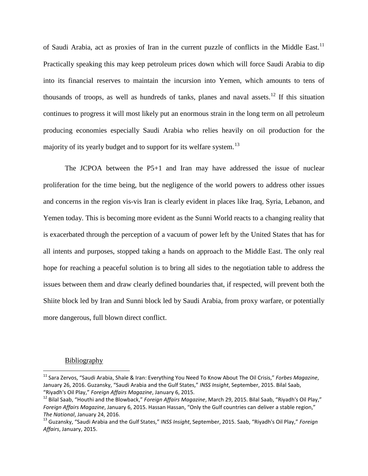of Saudi Arabia, act as proxies of Iran in the current puzzle of conflicts in the Middle East.<sup>[11](#page-6-0)</sup> Practically speaking this may keep petroleum prices down which will force Saudi Arabia to dip into its financial reserves to maintain the incursion into Yemen, which amounts to tens of thousands of troops, as well as hundreds of tanks, planes and naval assets.<sup>[12](#page-6-1)</sup> If this situation continues to progress it will most likely put an enormous strain in the long term on all petroleum producing economies especially Saudi Arabia who relies heavily on oil production for the majority of its yearly budget and to support for its welfare system.<sup>[13](#page-6-2)</sup>

The JCPOA between the P5+1 and Iran may have addressed the issue of nuclear proliferation for the time being, but the negligence of the world powers to address other issues and concerns in the region vis-vis Iran is clearly evident in places like Iraq, Syria, Lebanon, and Yemen today. This is becoming more evident as the Sunni World reacts to a changing reality that is exacerbated through the perception of a vacuum of power left by the United States that has for all intents and purposes, stopped taking a hands on approach to the Middle East. The only real hope for reaching a peaceful solution is to bring all sides to the negotiation table to address the issues between them and draw clearly defined boundaries that, if respected, will prevent both the Shiite block led by Iran and Sunni block led by Saudi Arabia, from proxy warfare, or potentially more dangerous, full blown direct conflict.

## Bibliography

<span id="page-6-0"></span> <sup>11</sup> Sara Zervos, "Saudi Arabia, Shale & Iran: Everything You Need To Know About The Oil Crisis," *Forbes Magazine*, January 26, 2016. Guzansky, "Saudi Arabia and the Gulf States," *INSS Insight*, September, 2015. Bilal Saab, "Riyadh's Oil Play," *Foreign Affairs Magazine*, January 6, 2015.<br><sup>12</sup> Bilal Saab, "Houthi and the Blowback," *Foreign Affairs Magazine*, March 29, 2015. Bilal Saab, "Riyadh's Oil Play,"

<span id="page-6-1"></span>*Foreign Affairs Magazine*, January 6, 2015. Hassan Hassan, "Only the Gulf countries can deliver a stable region," *The National*, January 24, 2016.<br><sup>13</sup> Guzansky, "Saudi Arabia and the Gulf States," *INSS Insight*, September, 2015. Saab, "Riyadh's Oil Play," *Foreign* 

<span id="page-6-2"></span>*Affairs*, January, 2015.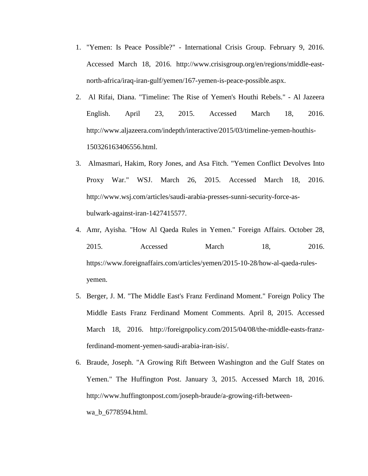- 1. "Yemen: Is Peace Possible?" International Crisis Group. February 9, 2016. Accessed March 18, 2016. http://www.crisisgroup.org/en/regions/middle-eastnorth-africa/iraq-iran-gulf/yemen/167-yemen-is-peace-possible.aspx.
- 2. Al Rifai, Diana. "Timeline: The Rise of Yemen's Houthi Rebels." Al Jazeera English. April 23, 2015. Accessed March 18, 2016. http://www.aljazeera.com/indepth/interactive/2015/03/timeline-yemen-houthis-150326163406556.html.
- 3. Almasmari, Hakim, Rory Jones, and Asa Fitch. "Yemen Conflict Devolves Into Proxy War." WSJ. March 26, 2015. Accessed March 18, 2016. http://www.wsj.com/articles/saudi-arabia-presses-sunni-security-force-asbulwark-against-iran-1427415577.
- 4. Amr, Ayisha. "How Al Qaeda Rules in Yemen." Foreign Affairs. October 28, 2015. Accessed March 18, 2016. https://www.foreignaffairs.com/articles/yemen/2015-10-28/how-al-qaeda-rulesyemen.
- 5. Berger, J. M. "The Middle East's Franz Ferdinand Moment." Foreign Policy The Middle Easts Franz Ferdinand Moment Comments. April 8, 2015. Accessed March 18, 2016. http://foreignpolicy.com/2015/04/08/the-middle-easts-franzferdinand-moment-yemen-saudi-arabia-iran-isis/.
- 6. Braude, Joseph. "A Growing Rift Between Washington and the Gulf States on Yemen." The Huffington Post. January 3, 2015. Accessed March 18, 2016. http://www.huffingtonpost.com/joseph-braude/a-growing-rift-betweenwa b 6778594.html.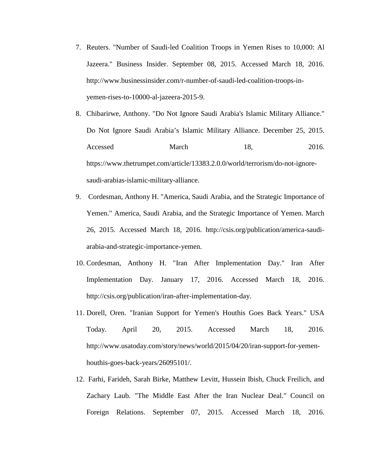- 7. Reuters. "Number of Saudi-led Coalition Troops in Yemen Rises to 10,000: Al Jazeera." Business Insider. September 08, 2015. Accessed March 18, 2016. http://www.businessinsider.com/r-number-of-saudi-led-coalition-troops-inyemen-rises-to-10000-al-jazeera-2015-9.
- 8. Chibarirwe, Anthony. "Do Not Ignore Saudi Arabia's Islamic Military Alliance." Do Not Ignore Saudi Arabia's Islamic Military Alliance. December 25, 2015. Accessed March 18, 2016. https://www.thetrumpet.com/article/13383.2.0.0/world/terrorism/do-not-ignoresaudi-arabias-islamic-military-alliance.
- 9. Cordesman, Anthony H. "America, Saudi Arabia, and the Strategic Importance of Yemen." America, Saudi Arabia, and the Strategic Importance of Yemen. March 26, 2015. Accessed March 18, 2016. http://csis.org/publication/america-saudiarabia-and-strategic-importance-yemen.
- 10. Cordesman, Anthony H. "Iran After Implementation Day." Iran After Implementation Day. January 17, 2016. Accessed March 18, 2016. http://csis.org/publication/iran-after-implementation-day.
- 11. Dorell, Oren. "Iranian Support for Yemen's Houthis Goes Back Years." USA Today. April 20, 2015. Accessed March 18, 2016. http://www.usatoday.com/story/news/world/2015/04/20/iran-support-for-yemenhouthis-goes-back-years/26095101/.
- 12. Farhi, Farideh, Sarah Birke, Matthew Levitt, Hussein Ibish, Chuck Freilich, and Zachary Laub. "The Middle East After the Iran Nuclear Deal." Council on Foreign Relations. September 07, 2015. Accessed March 18, 2016.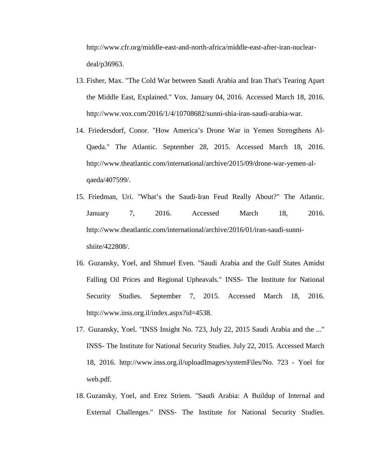http://www.cfr.org/middle-east-and-north-africa/middle-east-after-iran-nucleardeal/p36963.

- 13. Fisher, Max. "The Cold War between Saudi Arabia and Iran That's Tearing Apart the Middle East, Explained." Vox. January 04, 2016. Accessed March 18, 2016. http://www.vox.com/2016/1/4/10708682/sunni-shia-iran-saudi-arabia-war.
- 14. Friedersdorf, Conor. "How America's Drone War in Yemen Strengthens Al-Qaeda." The Atlantic. September 28, 2015. Accessed March 18, 2016. http://www.theatlantic.com/international/archive/2015/09/drone-war-yemen-alqaeda/407599/.
- 15. Friedman, Uri. "What's the Saudi-Iran Feud Really About?" The Atlantic. January 7, 2016. Accessed March 18, 2016. http://www.theatlantic.com/international/archive/2016/01/iran-saudi-sunnishiite/422808/.
- 16. Guzansky, Yoel, and Shmuel Even. "Saudi Arabia and the Gulf States Amidst Falling Oil Prices and Regional Upheavals." INSS- The Institute for National Security Studies. September 7, 2015. Accessed March 18, 2016. http://www.inss.org.il/index.aspx?id=4538.
- 17. Guzansky, Yoel. "INSS Insight No. 723, July 22, 2015 Saudi Arabia and the ..." INSS- The Institute for National Security Studies. July 22, 2015. Accessed March 18, 2016. http://www.inss.org.il/uploadImages/systemFiles/No. 723 - Yoel for web.pdf.
- 18. Guzansky, Yoel, and Erez Striem. "Saudi Arabia: A Buildup of Internal and External Challenges." INSS- The Institute for National Security Studies.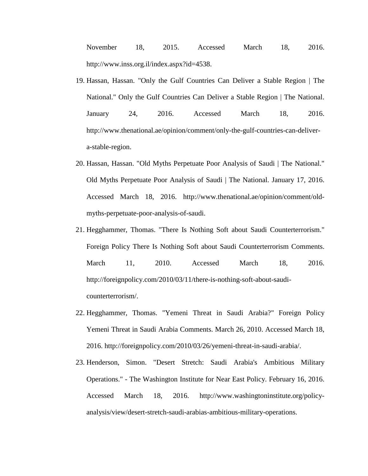November 18, 2015. Accessed March 18, 2016. http://www.inss.org.il/index.aspx?id=4538.

- 19. Hassan, Hassan. "Only the Gulf Countries Can Deliver a Stable Region | The National." Only the Gulf Countries Can Deliver a Stable Region | The National. January 24, 2016. Accessed March 18, 2016. http://www.thenational.ae/opinion/comment/only-the-gulf-countries-can-delivera-stable-region.
- 20. Hassan, Hassan. "Old Myths Perpetuate Poor Analysis of Saudi | The National." Old Myths Perpetuate Poor Analysis of Saudi | The National. January 17, 2016. Accessed March 18, 2016. http://www.thenational.ae/opinion/comment/oldmyths-perpetuate-poor-analysis-of-saudi.
- 21. Hegghammer, Thomas. "There Is Nothing Soft about Saudi Counterterrorism." Foreign Policy There Is Nothing Soft about Saudi Counterterrorism Comments. March 11, 2010. Accessed March 18, 2016. http://foreignpolicy.com/2010/03/11/there-is-nothing-soft-about-saudicounterterrorism/.
- 22. Hegghammer, Thomas. "Yemeni Threat in Saudi Arabia?" Foreign Policy Yemeni Threat in Saudi Arabia Comments. March 26, 2010. Accessed March 18, 2016. http://foreignpolicy.com/2010/03/26/yemeni-threat-in-saudi-arabia/.
- 23. Henderson, Simon. "Desert Stretch: Saudi Arabia's Ambitious Military Operations." - The Washington Institute for Near East Policy. February 16, 2016. Accessed March 18, 2016. http://www.washingtoninstitute.org/policyanalysis/view/desert-stretch-saudi-arabias-ambitious-military-operations.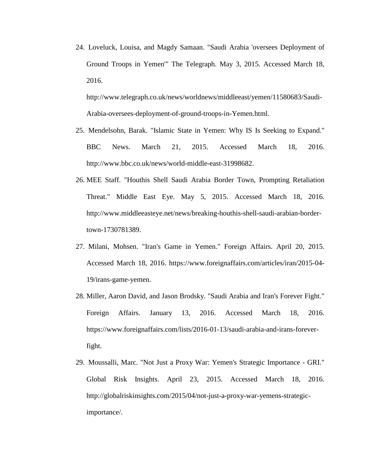24. Loveluck, Louisa, and Magdy Samaan. "Saudi Arabia 'oversees Deployment of Ground Troops in Yemen'" The Telegraph. May 3, 2015. Accessed March 18, 2016.

http://www.telegraph.co.uk/news/worldnews/middleeast/yemen/11580683/Saudi-Arabia-oversees-deployment-of-ground-troops-in-Yemen.html.

- 25. Mendelsohn, Barak. "Islamic State in Yemen: Why IS Is Seeking to Expand." BBC News. March 21, 2015. Accessed March 18, 2016. http://www.bbc.co.uk/news/world-middle-east-31998682.
- 26. MEE Staff. "Houthis Shell Saudi Arabia Border Town, Prompting Retaliation Threat." Middle East Eye. May 5, 2015. Accessed March 18, 2016. http://www.middleeasteye.net/news/breaking-houthis-shell-saudi-arabian-bordertown-1730781389.
- 27. Milani, Mohsen. "Iran's Game in Yemen." Foreign Affairs. April 20, 2015. Accessed March 18, 2016. https://www.foreignaffairs.com/articles/iran/2015-04- 19/irans-game-yemen.
- 28. Miller, Aaron David, and Jason Brodsky. "Saudi Arabia and Iran's Forever Fight." Foreign Affairs. January 13, 2016. Accessed March 18, 2016. https://www.foreignaffairs.com/lists/2016-01-13/saudi-arabia-and-irans-foreverfight.
- 29. Moussalli, Marc. "Not Just a Proxy War: Yemen's Strategic Importance GRI." Global Risk Insights. April 23, 2015. Accessed March 18, 2016. http://globalriskinsights.com/2015/04/not-just-a-proxy-war-yemens-strategicimportance/.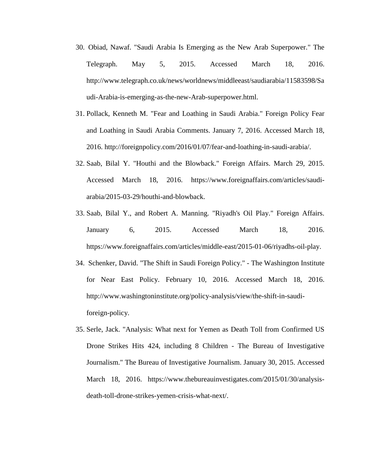- 30. Obiad, Nawaf. "Saudi Arabia Is Emerging as the New Arab Superpower." The Telegraph. May 5, 2015. Accessed March 18, 2016. http://www.telegraph.co.uk/news/worldnews/middleeast/saudiarabia/11583598/Sa udi-Arabia-is-emerging-as-the-new-Arab-superpower.html.
- 31. Pollack, Kenneth M. "Fear and Loathing in Saudi Arabia." Foreign Policy Fear and Loathing in Saudi Arabia Comments. January 7, 2016. Accessed March 18, 2016. http://foreignpolicy.com/2016/01/07/fear-and-loathing-in-saudi-arabia/.
- 32. Saab, Bilal Y. "Houthi and the Blowback." Foreign Affairs. March 29, 2015. Accessed March 18, 2016. https://www.foreignaffairs.com/articles/saudiarabia/2015-03-29/houthi-and-blowback.
- 33. Saab, Bilal Y., and Robert A. Manning. "Riyadh's Oil Play." Foreign Affairs. January 6, 2015. Accessed March 18, 2016. https://www.foreignaffairs.com/articles/middle-east/2015-01-06/riyadhs-oil-play.
- 34. Schenker, David. "The Shift in Saudi Foreign Policy." The Washington Institute for Near East Policy. February 10, 2016. Accessed March 18, 2016. http://www.washingtoninstitute.org/policy-analysis/view/the-shift-in-saudiforeign-policy.
- 35. Serle, Jack. "Analysis: What next for Yemen as Death Toll from Confirmed US Drone Strikes Hits 424, including 8 Children - The Bureau of Investigative Journalism." The Bureau of Investigative Journalism. January 30, 2015. Accessed March 18, 2016. https://www.thebureauinvestigates.com/2015/01/30/analysisdeath-toll-drone-strikes-yemen-crisis-what-next/.